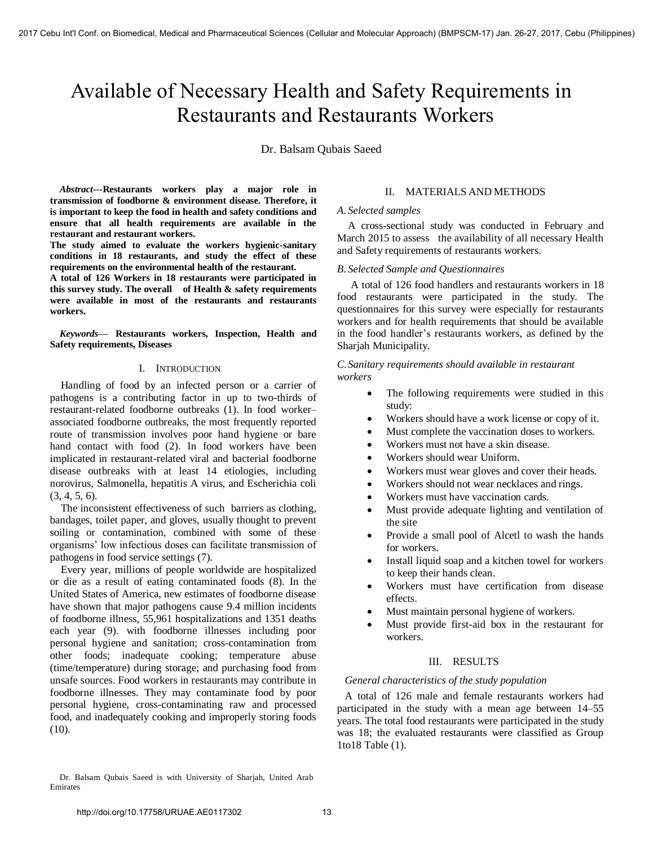# Available of Necessary Health and Safety Requirements in Restaurants and Restaurants Workers

Dr. Balsam Qubais Saeed

*Abstract---***Restaurants workers play a major role in transmission of foodborne & environment disease. Therefore, it is important to keep the food in health and safety conditions and ensure that all health requirements are available in the restaurant and restaurant workers.** 

**The study aimed to evaluate the workers hygienic-sanitary conditions in 18 restaurants, and study the effect of these requirements on the environmental health of the restaurant.** 

**A total of 126 Workers in 18 restaurants were participated in this survey study. The overall of Health & safety requirements were available in most of the restaurants and restaurants workers.** 

*Keywords—* **Restaurants workers, Inspection, Health and Safety requirements, Diseases** 

# I. INTRODUCTION

Handling of food by an infected person or a carrier of pathogens is a contributing factor in up to two-thirds of restaurant-related foodborne outbreaks (1). In food worker– associated foodborne outbreaks, the most frequently reported route of transmission involves poor hand hygiene or bare hand contact with food (2). In food workers have been implicated in restaurant-related viral and bacterial foodborne disease outbreaks with at least 14 etiologies, including norovirus, Salmonella, hepatitis A virus, and Escherichia coli (3, 4, 5, 6).

The inconsistent effectiveness of such barriers as clothing, bandages, toilet paper, and gloves, usually thought to prevent soiling or contamination, combined with some of these organisms' low infectious doses can facilitate transmission of pathogens in food service settings (7).

Every year, millions of people worldwide are hospitalized or die as a result of eating contaminated foods [\(8\)](http://www.sciencedirect.com/science/article/pii/S0956713512005373#bib28). In the United States of America, new estimates of foodborne disease have shown that major pathogens cause 9.4 million incidents of foodborne illness, 55,961 hospitalizations and 1351 deaths each year [\(9\)](http://www.sciencedirect.com/science/article/pii/S0956713512005373#bib22). with foodborne illnesses including poor personal hygiene and sanitation; cross-contamination from other foods; inadequate cooking; temperature abuse (time/temperature) during storage; and purchasing food from unsafe sources. Food workers in restaurants may contribute in foodborne illnesses. They may contaminate food by poor personal hygiene, cross-contaminating raw and processed food, and inadequately cooking and improperly storing foods (10).

# II. MATERIALS AND METHODS

# *A. Selected samples*

A cross-sectional study was conducted in February and March 2015 to assess the availability of all necessary Health and Safety requirements of restaurants workers.

#### *B. Selected Sample and Questionnaires*

A total of 126 food handlers and restaurants workers in 18 food restaurants were participated in the study. The questionnaires for this survey were especially for restaurants workers and for health requirements that should be available in the food handler's restaurants workers, as defined by the Sharjah Municipality.

*C.Sanitary requirements should available in restaurant workers* 

- The following requirements were studied in this study:
- Workers should have a work license or copy of it.
- Must complete the vaccination doses to workers.
- Workers must not have a skin disease.
- Workers should wear Uniform.
- Workers must wear gloves and cover their heads.
- Workers should not wear necklaces and rings.
- Workers must have vaccination cards.
- Must provide adequate lighting and ventilation of the site
- Provide a small pool of Alcetl to wash the hands for workers.
- Install liquid soap and a kitchen towel for workers to keep their hands clean.
- Workers must have certification from disease effects.
- Must maintain personal hygiene of workers.
- Must provide first-aid box in the restaurant for workers.

# III. RESULTS

# *General characteristics of the study population*

A total of 126 male and female restaurants workers had participated in the study with a mean age between 14–55 years. The total food restaurants were participated in the study was 18; the evaluated restaurants were classified as Group 1to18 Table (1).

Dr. Balsam Qubais Saeed is with University of Sharjah, United Arab Emirates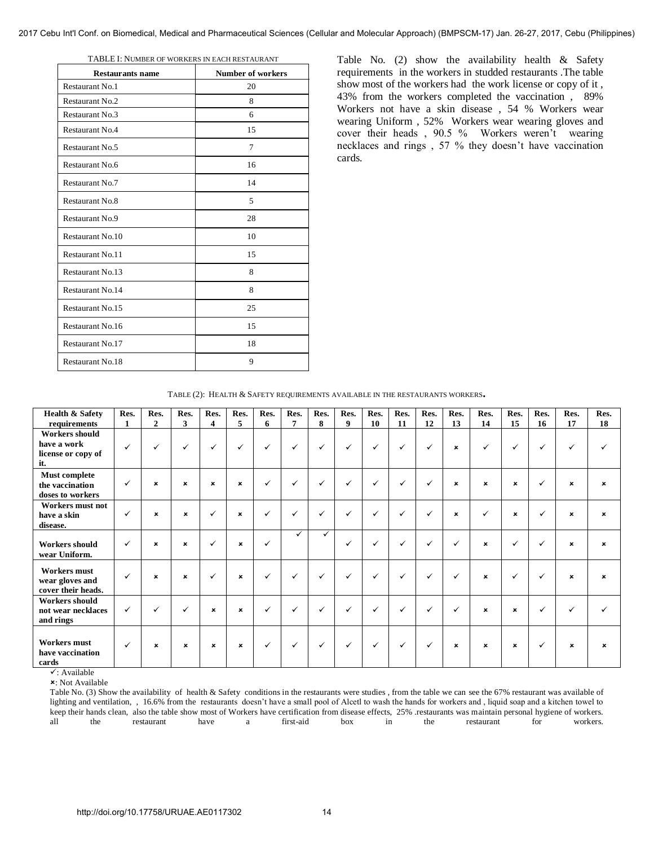| <b>Restaurants name</b> | <b>Number of workers</b> |
|-------------------------|--------------------------|
| <b>Restaurant No.1</b>  | 20                       |
| <b>Restaurant No.2</b>  | 8                        |
| <b>Restaurant No.3</b>  | 6                        |
| <b>Restaurant No.4</b>  | 15                       |
| Restaurant No.5         | 7                        |
| Restaurant No.6         | 16                       |
| Restaurant No.7         | 14                       |
| <b>Restaurant No.8</b>  | 5                        |
| <b>Restaurant No.9</b>  | 28                       |
| Restaurant No.10        | 10                       |
| <b>Restaurant No.11</b> | 15                       |
| <b>Restaurant No.13</b> | 8                        |
| <b>Restaurant No.14</b> | 8                        |
| Restaurant No.15        | 25                       |
| Restaurant No.16        | 15                       |
| Restaurant No.17        | 18                       |
| Restaurant No.18        | 9                        |

TABLE I: NUMBER OF WORKERS IN EACH RESTAURANT

Table No. (2) show the availability health & Safety requirements in the workers in studded restaurants .The table show most of the workers had the work license or copy of it , 43% from the workers completed the vaccination , 89% Workers not have a skin disease , 54 % Workers wear wearing Uniform , 52% Workers wear wearing gloves and cover their heads , 90.5 % Workers weren't wearing necklaces and rings , 57 % they doesn't have vaccination cards.

| <b>Health &amp; Safety</b><br>requirements                        | Res.<br>1    | Res.<br>$\overline{2}$    | Res.<br>3                 | Res.<br>4                 | Res.<br>5                 | Res.<br>6    | Res.<br>7    | Res.<br>8    | Res.<br>9    | Res.<br>10   | Res.<br>11   | Res.<br>12   | Res.<br>13                | Res.<br>14                | Res.<br>15                | Res.<br>16   | Res.<br>17                | Res.<br>18                |
|-------------------------------------------------------------------|--------------|---------------------------|---------------------------|---------------------------|---------------------------|--------------|--------------|--------------|--------------|--------------|--------------|--------------|---------------------------|---------------------------|---------------------------|--------------|---------------------------|---------------------------|
| <b>Workers should</b><br>have a work<br>license or copy of<br>it. | ✓            | $\checkmark$              | $\checkmark$              | $\checkmark$              | $\checkmark$              | $\checkmark$ | $\checkmark$ | $\checkmark$ | ✓            | $\checkmark$ | $\checkmark$ | $\checkmark$ | $\boldsymbol{\mathsf{x}}$ | $\checkmark$              | $\checkmark$              | $\checkmark$ | ✓                         | ✓                         |
| <b>Must complete</b><br>the vaccination<br>doses to workers       | $\checkmark$ | ×                         | $\boldsymbol{\mathsf{x}}$ | $\boldsymbol{\mathsf{x}}$ | $\boldsymbol{\mathsf{x}}$ | $\checkmark$ | $\checkmark$ | $\checkmark$ | $\checkmark$ | $\checkmark$ | ✓            | $\checkmark$ | $\boldsymbol{\mathsf{x}}$ | $\boldsymbol{\mathsf{x}}$ | $\boldsymbol{\mathsf{x}}$ | $\checkmark$ | $\boldsymbol{\mathsf{x}}$ | $\boldsymbol{\mathsf{x}}$ |
| Workers must not<br>have a skin<br>disease.                       | ✓            | ×                         | $\pmb{\times}$            | $\checkmark$              | $\pmb{\times}$            | $\checkmark$ | $\checkmark$ | $\checkmark$ | $\checkmark$ | $\checkmark$ | $\checkmark$ | $\checkmark$ | $\boldsymbol{\mathsf{x}}$ | ✓                         | $\boldsymbol{\mathsf{x}}$ | ✓            | $\mathbf x$               | $\pmb{\times}$            |
| <b>Workers should</b><br>wear Uniform.                            | ✓            | $\boldsymbol{\mathsf{x}}$ | $\boldsymbol{\mathsf{x}}$ | $\checkmark$              | $\pmb{\times}$            | $\checkmark$ | ✓            | ✓            | ✓            | ✓            | $\checkmark$ | ✓            | ✓                         | $\boldsymbol{\mathsf{x}}$ | ✓                         | $\checkmark$ | $\mathbf x$               | $\boldsymbol{\mathsf{x}}$ |
| Workers must<br>wear gloves and<br>cover their heads.             | ✓            | ×                         | $\boldsymbol{\mathsf{x}}$ | $\checkmark$              | $\pmb{\times}$            | $\checkmark$ | $\checkmark$ | $\checkmark$ | $\checkmark$ | $\checkmark$ | $\checkmark$ | $\checkmark$ | $\checkmark$              | $\boldsymbol{\mathsf{x}}$ | ✓                         | $\checkmark$ | $\boldsymbol{\mathsf{x}}$ | $\boldsymbol{\mathsf{x}}$ |
| Workers should<br>not wear necklaces<br>and rings                 | ✓            | $\checkmark$              | ✓                         | $\boldsymbol{\mathsf{x}}$ | $\boldsymbol{\mathsf{x}}$ | $\checkmark$ | $\checkmark$ | $\checkmark$ | ✓            | $\checkmark$ | ✓            | $\checkmark$ | $\checkmark$              | $\pmb{\times}$            | $\boldsymbol{\mathsf{x}}$ | $\checkmark$ | $\checkmark$              | $\checkmark$              |
| <b>Workers must</b><br>have vaccination<br>cards                  | ✓            | $\boldsymbol{\mathsf{x}}$ | $\boldsymbol{\mathsf{x}}$ | $\boldsymbol{\mathsf{x}}$ | $\boldsymbol{\mathsf{x}}$ | $\checkmark$ | $\checkmark$ | $\checkmark$ | ✓            | $\checkmark$ | ✓            | $\checkmark$ | $\boldsymbol{\mathsf{x}}$ | $\boldsymbol{\mathsf{x}}$ | $\boldsymbol{\mathsf{x}}$ | $\checkmark$ | $\boldsymbol{\mathsf{x}}$ | $\boldsymbol{\mathsf{x}}$ |

 $\checkmark$ : Available

: Not Available

Table No. (3) Show the availability of health & Safety conditions in the restaurants were studies , from the table we can see the 67% restaurant was available of lighting and ventilation,, 16.6% from the restaurants doesn't have a small pool of Alcetl to wash the hands for workers and, liquid soap and a kitchen towel to keep their hands clean, also the table show most of Workers have certification from disease effects, 25% .restaurants was maintain personal hygiene of workers. all the restaurant have a first-aid box in the restaurant for workers.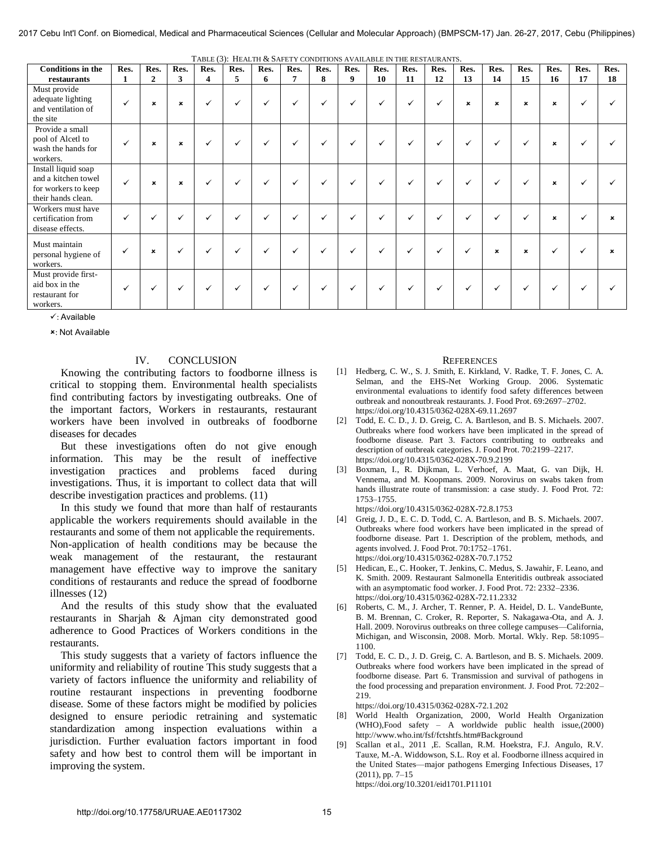| TABLE (3): HEALTH & SAFETY CONDITIONS AVAILABLE IN THE RESTAURANTS.                     |              |                           |                           |                    |              |              |      |              |              |              |              |              |                |                           |                           |                           |              |      |
|-----------------------------------------------------------------------------------------|--------------|---------------------------|---------------------------|--------------------|--------------|--------------|------|--------------|--------------|--------------|--------------|--------------|----------------|---------------------------|---------------------------|---------------------------|--------------|------|
| <b>Conditions in the</b>                                                                | Res.         | Res.                      | Res.                      | Res.               | Res.         | Res.         | Res. | Res.         | Res.         | Res.         | Res.         | Res.         | Res.           | Res.                      | Res.                      | Res.                      | Res.         | Res. |
| restaurants                                                                             | 1            | $\mathbf{2}$              | 3                         | $\overline{\bf 4}$ | 5            | 6            | 7    | 8            | 9            | 10           | 11           | 12           | 13             | 14                        | 15                        | 16                        | 17           | 18   |
| Must provide<br>adequate lighting<br>and ventilation of<br>the site                     | ✓            | ×                         | $\boldsymbol{\mathsf{x}}$ | ✓                  | $\checkmark$ | ✓            | ✓    | $\checkmark$ | $\checkmark$ | ✓            | $\checkmark$ | ✓            | $\pmb{\times}$ | $\boldsymbol{\mathsf{x}}$ | $\boldsymbol{\mathsf{x}}$ | $\boldsymbol{\mathsf{x}}$ | ✓            |      |
| Provide a small<br>pool of Alcetl to<br>wash the hands for<br>workers.                  | $\checkmark$ | $\mathbf x$               | $\boldsymbol{\mathsf{x}}$ | ✓                  | $\checkmark$ | $\checkmark$ | ✓    | $\checkmark$ | $\checkmark$ | ✓            | $\checkmark$ | ✓            | ✓              | $\checkmark$              | ✓                         | $\boldsymbol{\mathsf{x}}$ | ✓            |      |
| Install liquid soap<br>and a kitchen towel<br>for workers to keep<br>their hands clean. | $\checkmark$ | ×                         | $\boldsymbol{\mathsf{x}}$ | $\checkmark$       | $\checkmark$ | ✓            | ✓    | ✓            | $\checkmark$ | ✓            | $\checkmark$ | ✓            | $\checkmark$   | $\checkmark$              | ✓                         | $\boldsymbol{\mathsf{x}}$ | ✓            |      |
| Workers must have<br>certification from<br>disease effects.                             | ✓            |                           | ✓                         | ✓                  | $\checkmark$ | $\checkmark$ | ✓    | $\checkmark$ | ✓            | $\checkmark$ | $\checkmark$ | $\checkmark$ | ✓              | $\checkmark$              | ✓                         | $\boldsymbol{\mathsf{x}}$ | ✓            |      |
| Must maintain<br>personal hygiene of<br>workers.                                        | $\checkmark$ | $\boldsymbol{\mathsf{x}}$ | $\checkmark$              | $\checkmark$       | $\checkmark$ | $\checkmark$ | ✓    | $\checkmark$ | $\checkmark$ | ✓            | $\checkmark$ | $\checkmark$ | $\checkmark$   | $\boldsymbol{\mathsf{x}}$ | $\boldsymbol{\mathsf{x}}$ | ✓                         | $\checkmark$ |      |
| Must provide first-<br>aid box in the<br>restaurant for<br>workers.                     | ✓            |                           | ✓                         | ✓                  | ✓            |              | ✓    |              | $\checkmark$ | ✓            | $\checkmark$ | ✓            | ✓              | $\checkmark$              | ✓                         | $\checkmark$              | $\checkmark$ |      |

: Available

: Not Available

# IV. CONCLUSION

Knowing the contributing factors to foodborne illness is critical to stopping them. Environmental health specialists find contributing factors by investigating outbreaks. One of the important factors, Workers in restaurants, restaurant workers have been involved in outbreaks of foodborne diseases for decades

But these investigations often do not give enough information. This may be the result of ineffective investigation practices and problems faced during investigations. Thus, it is important to collect data that will describe investigation practices and problems. (11)

In this study we found that more than half of restaurants applicable the workers requirements should available in the restaurants and some of them not applicable the requirements. Non-application of health conditions may be because the weak management of the restaurant, the restaurant management have effective way to improve the sanitary conditions of restaurants and reduce the spread of foodborne illnesses (12)

And the results of this study show that the evaluated restaurants in Sharjah & Ajman city demonstrated good adherence to Good Practices of Workers conditions in the restaurants.

This study suggests that a variety of factors influence the uniformity and reliability of routine This study suggests that a variety of factors influence the uniformity and reliability of routine restaurant inspections in preventing foodborne disease. Some of these factors might be modified by policies designed to ensure periodic retraining and systematic standardization among inspection evaluations within a jurisdiction. Further evaluation factors important in food safety and how best to control them will be important in improving the system.

# **REFERENCES**

- [1] [Hedberg, C. W., S. J. Smith, E. Kirkland, V. Radke, T. F. Jones, C. A.](https://doi.org/10.4315/0362-028X-69.11.2697)  [Selman, and the EHS-Net Working Group. 2006. Systematic](https://doi.org/10.4315/0362-028X-69.11.2697)  [environmental evaluations to identify food safety differences between](https://doi.org/10.4315/0362-028X-69.11.2697)  [outbreak and nonoutbreak restaurants. J. Food Prot. 69:2697–2702.](https://doi.org/10.4315/0362-028X-69.11.2697)  <https://doi.org/10.4315/0362-028X-69.11.2697>
- [2] Todd, E. C. D., J. D. Greig, C. A. Bartleson, and B. S. Michaels. 2007. [Outbreaks where food workers have been implicated in the spread of](https://doi.org/10.4315/0362-028X-70.9.2199)  [foodborne disease. Part 3. Factors contributing to outbreaks and](https://doi.org/10.4315/0362-028X-70.9.2199)  [description of outbreak categories. J. Food Prot. 70:2199–2217.](https://doi.org/10.4315/0362-028X-70.9.2199)  <https://doi.org/10.4315/0362-028X-70.9.2199>
- [3] [Boxman, I., R. Dijkman, L. Verhoef, A. Maat, G. van Dijk, H.](https://doi.org/10.4315/0362-028X-72.8.1753)  [Vennema, and M. Koopmans. 2009. Norovirus on swabs taken from](https://doi.org/10.4315/0362-028X-72.8.1753)  [hands illustrate route of transmission: a case study. J. Food Prot. 72:](https://doi.org/10.4315/0362-028X-72.8.1753)  [1753–1755.](https://doi.org/10.4315/0362-028X-72.8.1753) 
	- <https://doi.org/10.4315/0362-028X-72.8.1753>
- [4] Greig, J. D., E. C. D. Todd, C. A. Bartleson, and B. S. Michaels. 2007. [Outbreaks where food workers have been implicated in the spread of](https://doi.org/10.4315/0362-028X-70.7.1752)  [foodborne disease. Part 1. Description of the problem, methods, and](https://doi.org/10.4315/0362-028X-70.7.1752)  [agents involved. J. Food Prot. 70:1752–1761.](https://doi.org/10.4315/0362-028X-70.7.1752)  <https://doi.org/10.4315/0362-028X-70.7.1752>
- [5] [Hedican, E., C. Hooker, T. Jenkins, C. Medus, S. Jawahir, F. Leano, and](https://doi.org/10.4315/0362-028X-72.11.2332)  [K. Smith. 2009. Restaurant Salmonella Enteritidis outbreak associated](https://doi.org/10.4315/0362-028X-72.11.2332)  [with an asymptomatic food worker. J. Food Prot. 72: 2332–2336.](https://doi.org/10.4315/0362-028X-72.11.2332)  <https://doi.org/10.4315/0362-028X-72.11.2332>
- [6] Roberts, C. M., J. Archer, T. Renner, P. A. Heidel, D. L. VandeBunte, B. M. Brennan, C. Croker, R. Reporter, S. Nakagawa-Ota, and A. J. Hall. 2009. Norovirus outbreaks on three college campuses—California, Michigan, and Wisconsin, 2008. Morb. Mortal. Wkly. Rep. 58:1095– 1100.
- [7] [Todd, E. C. D., J. D. Greig, C. A. Bartleson, and B. S. Michaels. 2009.](https://doi.org/10.4315/0362-028X-72.1.202)  [Outbreaks where food workers have been implicated in the spread of](https://doi.org/10.4315/0362-028X-72.1.202)  [foodborne disease. Part 6. Transmission and survival of pathogens in](https://doi.org/10.4315/0362-028X-72.1.202)  [the food processing and preparation environment. J. Food Prot. 72:202–](https://doi.org/10.4315/0362-028X-72.1.202) [219.](https://doi.org/10.4315/0362-028X-72.1.202)

<https://doi.org/10.4315/0362-028X-72.1.202>

- [8] [World Health Organization, 2000,](http://www.sciencedirect.com/science/article/pii/S0956713512005373#bib28) World Health Organization (WHO),Food safety – A worldwide public health issue,(2000) [http://www.who.int/fsf/fctshtfs.htm#Background](http://www.sciencedirect.com/science?_ob=RedirectURL&_method=externObjLink&_locator=url&_cdi=271164&_issn=09567135&_origin=article&_zone=art_page&_plusSign=%2B&_targetURL=http%253A%252F%252Fwww.who.int%252Ffsf%252Ffctshtfs.htm%2523Background)
- [9] [Scallan et al., 2011](http://www.sciencedirect.com/science/article/pii/S0956713512005373#bib22) [,E. Scallan, R.M. Hoekstra, F.J. Angulo, R.V.](https://doi.org/10.3201/eid1701.P11101)  [Tauxe, M.-A. Widdowson, S.L](https://doi.org/10.3201/eid1701.P11101). Roy et al. Foodborne illness acquired in the United States—major pathogens Emerging Infectious Diseases, 17 (2011), pp. 7–15 <https://doi.org/10.3201/eid1701.P11101>